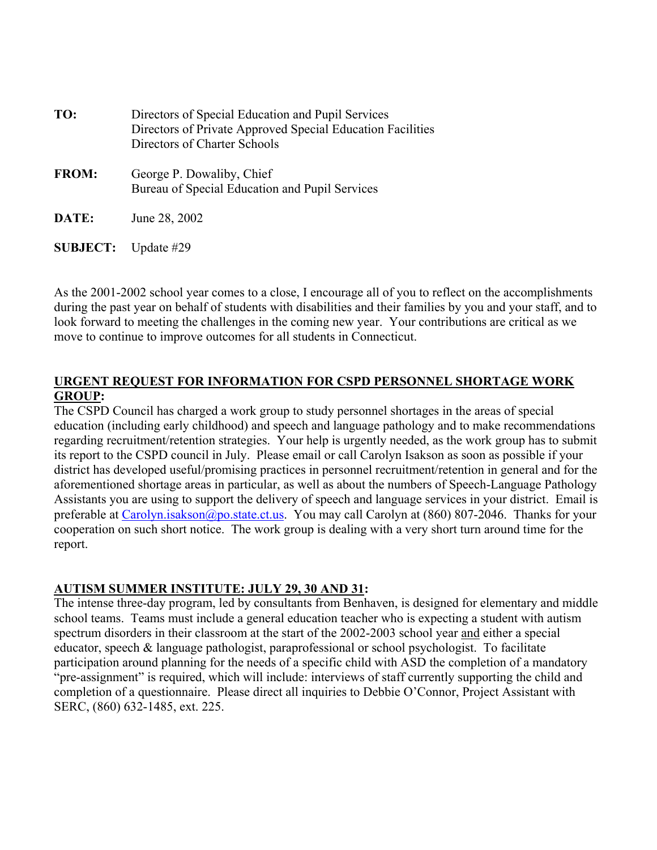| TO:             | Directors of Special Education and Pupil Services<br>Directors of Private Approved Special Education Facilities<br>Directors of Charter Schools |
|-----------------|-------------------------------------------------------------------------------------------------------------------------------------------------|
| <b>FROM:</b>    | George P. Dowaliby, Chief<br>Bureau of Special Education and Pupil Services                                                                     |
| DATE:           | June 28, 2002                                                                                                                                   |
| <b>SUBJECT:</b> | Update #29                                                                                                                                      |

As the 2001-2002 school year comes to a close, I encourage all of you to reflect on the accomplishments during the past year on behalf of students with disabilities and their families by you and your staff, and to look forward to meeting the challenges in the coming new year. Your contributions are critical as we move to continue to improve outcomes for all students in Connecticut.

# **URGENT REQUEST FOR INFORMATION FOR CSPD PERSONNEL SHORTAGE WORK GROUP:**

The CSPD Council has charged a work group to study personnel shortages in the areas of special education (including early childhood) and speech and language pathology and to make recommendations regarding recruitment/retention strategies. Your help is urgently needed, as the work group has to submit its report to the CSPD council in July. Please email or call Carolyn Isakson as soon as possible if your district has developed useful/promising practices in personnel recruitment/retention in general and for the aforementioned shortage areas in particular, as well as about the numbers of Speech-Language Pathology Assistants you are using to support the delivery of speech and language services in your district. Email is preferable at Carolyn.isakson@po.state.ct.us. You may call Carolyn at (860) 807-2046. Thanks for your cooperation on such short notice. The work group is dealing with a very short turn around time for the report.

# **AUTISM SUMMER INSTITUTE: JULY 29, 30 AND 31:**

The intense three-day program, led by consultants from Benhaven, is designed for elementary and middle school teams. Teams must include a general education teacher who is expecting a student with autism spectrum disorders in their classroom at the start of the 2002-2003 school year and either a special educator, speech & language pathologist, paraprofessional or school psychologist. To facilitate participation around planning for the needs of a specific child with ASD the completion of a mandatory "pre-assignment" is required, which will include: interviews of staff currently supporting the child and completion of a questionnaire. Please direct all inquiries to Debbie O'Connor, Project Assistant with SERC, (860) 632-1485, ext. 225.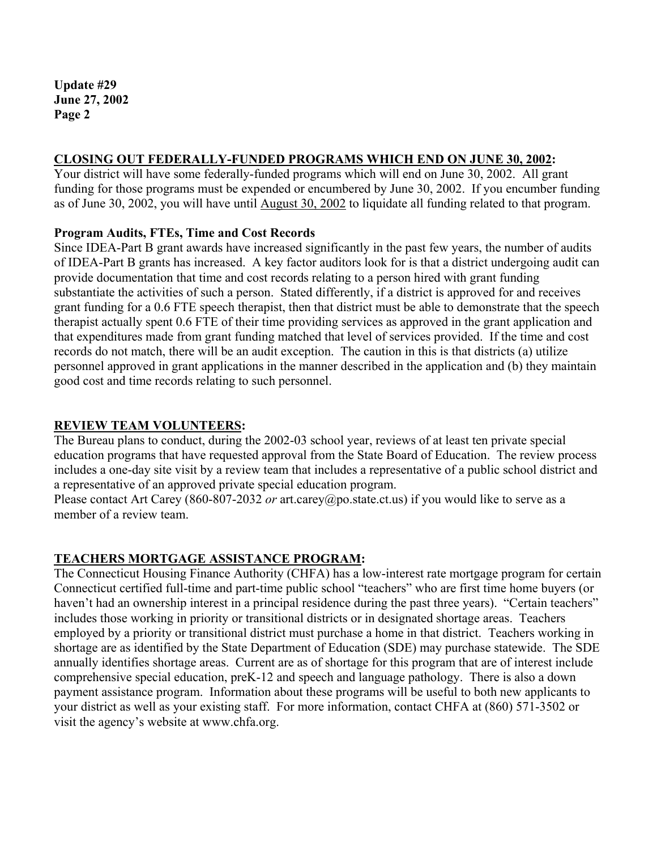#### **CLOSING OUT FEDERALLY-FUNDED PROGRAMS WHICH END ON JUNE 30, 2002:**

Your district will have some federally-funded programs which will end on June 30, 2002. All grant funding for those programs must be expended or encumbered by June 30, 2002. If you encumber funding as of June 30, 2002, you will have until August 30, 2002 to liquidate all funding related to that program.

#### **Program Audits, FTEs, Time and Cost Records**

Since IDEA-Part B grant awards have increased significantly in the past few years, the number of audits of IDEA-Part B grants has increased. A key factor auditors look for is that a district undergoing audit can provide documentation that time and cost records relating to a person hired with grant funding substantiate the activities of such a person. Stated differently, if a district is approved for and receives grant funding for a 0.6 FTE speech therapist, then that district must be able to demonstrate that the speech therapist actually spent 0.6 FTE of their time providing services as approved in the grant application and that expenditures made from grant funding matched that level of services provided. If the time and cost records do not match, there will be an audit exception. The caution in this is that districts (a) utilize personnel approved in grant applications in the manner described in the application and (b) they maintain good cost and time records relating to such personnel.

#### **REVIEW TEAM VOLUNTEERS:**

The Bureau plans to conduct, during the 2002-03 school year, reviews of at least ten private special education programs that have requested approval from the State Board of Education. The review process includes a one-day site visit by a review team that includes a representative of a public school district and a representative of an approved private special education program.

Please contact Art Carey (860-807-2032 *or* art.carey@po.state.ct.us) if you would like to serve as a member of a review team.

# **TEACHERS MORTGAGE ASSISTANCE PROGRAM:**

The Connecticut Housing Finance Authority (CHFA) has a low-interest rate mortgage program for certain Connecticut certified full-time and part-time public school "teachers" who are first time home buyers (or haven't had an ownership interest in a principal residence during the past three years). "Certain teachers" includes those working in priority or transitional districts or in designated shortage areas. Teachers employed by a priority or transitional district must purchase a home in that district. Teachers working in shortage are as identified by the State Department of Education (SDE) may purchase statewide. The SDE annually identifies shortage areas. Current are as of shortage for this program that are of interest include comprehensive special education, preK-12 and speech and language pathology. There is also a down payment assistance program. Information about these programs will be useful to both new applicants to your district as well as your existing staff. For more information, contact CHFA at (860) 571-3502 or visit the agency's website at www.chfa.org.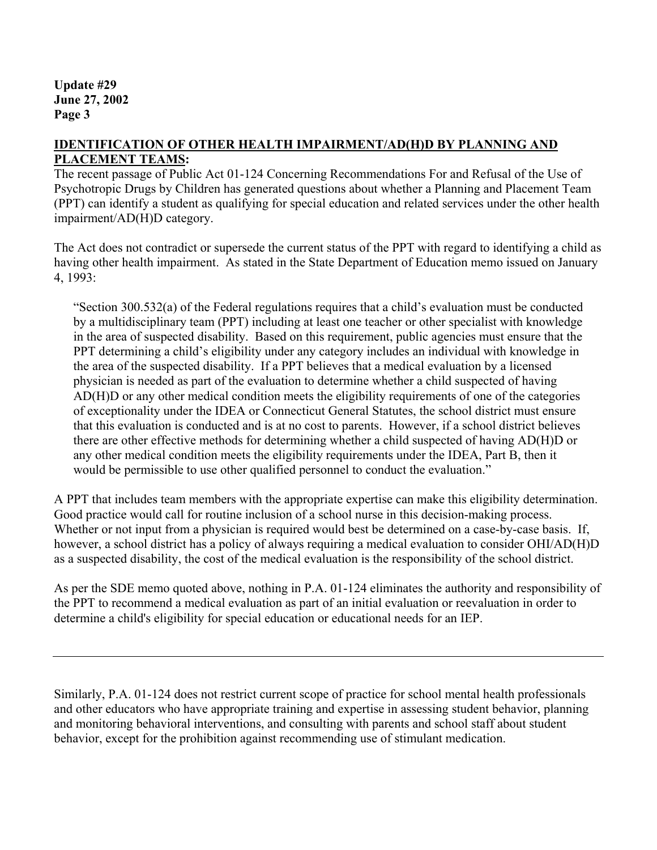# **IDENTIFICATION OF OTHER HEALTH IMPAIRMENT/AD(H)D BY PLANNING AND PLACEMENT TEAMS:**

The recent passage of Public Act 01-124 Concerning Recommendations For and Refusal of the Use of Psychotropic Drugs by Children has generated questions about whether a Planning and Placement Team (PPT) can identify a student as qualifying for special education and related services under the other health impairment/AD(H)D category.

The Act does not contradict or supersede the current status of the PPT with regard to identifying a child as having other health impairment. As stated in the State Department of Education memo issued on January 4, 1993:

"Section 300.532(a) of the Federal regulations requires that a child's evaluation must be conducted by a multidisciplinary team (PPT) including at least one teacher or other specialist with knowledge in the area of suspected disability. Based on this requirement, public agencies must ensure that the PPT determining a child's eligibility under any category includes an individual with knowledge in the area of the suspected disability. If a PPT believes that a medical evaluation by a licensed physician is needed as part of the evaluation to determine whether a child suspected of having AD(H)D or any other medical condition meets the eligibility requirements of one of the categories of exceptionality under the IDEA or Connecticut General Statutes, the school district must ensure that this evaluation is conducted and is at no cost to parents. However, if a school district believes there are other effective methods for determining whether a child suspected of having AD(H)D or any other medical condition meets the eligibility requirements under the IDEA, Part B, then it would be permissible to use other qualified personnel to conduct the evaluation."

A PPT that includes team members with the appropriate expertise can make this eligibility determination. Good practice would call for routine inclusion of a school nurse in this decision-making process. Whether or not input from a physician is required would best be determined on a case-by-case basis. If, however, a school district has a policy of always requiring a medical evaluation to consider OHI/AD(H)D as a suspected disability, the cost of the medical evaluation is the responsibility of the school district.

As per the SDE memo quoted above, nothing in P.A. 01-124 eliminates the authority and responsibility of the PPT to recommend a medical evaluation as part of an initial evaluation or reevaluation in order to determine a child's eligibility for special education or educational needs for an IEP.

Similarly, P.A. 01-124 does not restrict current scope of practice for school mental health professionals and other educators who have appropriate training and expertise in assessing student behavior, planning and monitoring behavioral interventions, and consulting with parents and school staff about student behavior, except for the prohibition against recommending use of stimulant medication.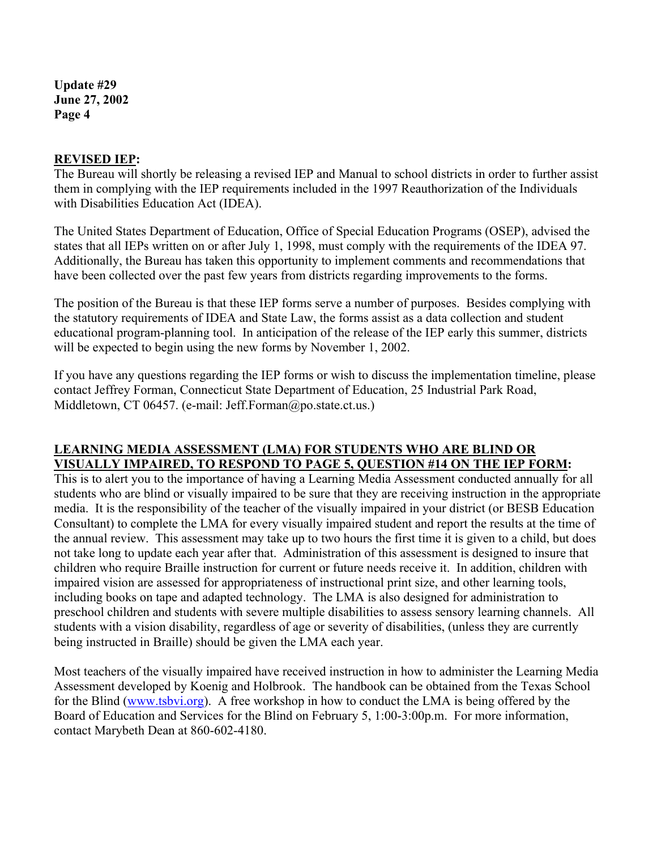#### **REVISED IEP:**

The Bureau will shortly be releasing a revised IEP and Manual to school districts in order to further assist them in complying with the IEP requirements included in the 1997 Reauthorization of the Individuals with Disabilities Education Act (IDEA).

The United States Department of Education, Office of Special Education Programs (OSEP), advised the states that all IEPs written on or after July 1, 1998, must comply with the requirements of the IDEA 97. Additionally, the Bureau has taken this opportunity to implement comments and recommendations that have been collected over the past few years from districts regarding improvements to the forms.

The position of the Bureau is that these IEP forms serve a number of purposes. Besides complying with the statutory requirements of IDEA and State Law, the forms assist as a data collection and student educational program-planning tool. In anticipation of the release of the IEP early this summer, districts will be expected to begin using the new forms by November 1, 2002.

If you have any questions regarding the IEP forms or wish to discuss the implementation timeline, please contact Jeffrey Forman, Connecticut State Department of Education, 25 Industrial Park Road, Middletown, CT 06457. (e-mail: Jeff.Forman@po.state.ct.us.)

# **LEARNING MEDIA ASSESSMENT (LMA) FOR STUDENTS WHO ARE BLIND OR VISUALLY IMPAIRED, TO RESPOND TO PAGE 5, QUESTION #14 ON THE IEP FORM:**

This is to alert you to the importance of having a Learning Media Assessment conducted annually for all students who are blind or visually impaired to be sure that they are receiving instruction in the appropriate media. It is the responsibility of the teacher of the visually impaired in your district (or BESB Education Consultant) to complete the LMA for every visually impaired student and report the results at the time of the annual review. This assessment may take up to two hours the first time it is given to a child, but does not take long to update each year after that. Administration of this assessment is designed to insure that children who require Braille instruction for current or future needs receive it. In addition, children with impaired vision are assessed for appropriateness of instructional print size, and other learning tools, including books on tape and adapted technology. The LMA is also designed for administration to preschool children and students with severe multiple disabilities to assess sensory learning channels. All students with a vision disability, regardless of age or severity of disabilities, (unless they are currently being instructed in Braille) should be given the LMA each year.

Most teachers of the visually impaired have received instruction in how to administer the Learning Media Assessment developed by Koenig and Holbrook. The handbook can be obtained from the Texas School for the Blind (www.tsbvi.org). A free workshop in how to conduct the LMA is being offered by the Board of Education and Services for the Blind on February 5, 1:00-3:00p.m. For more information, contact Marybeth Dean at 860-602-4180.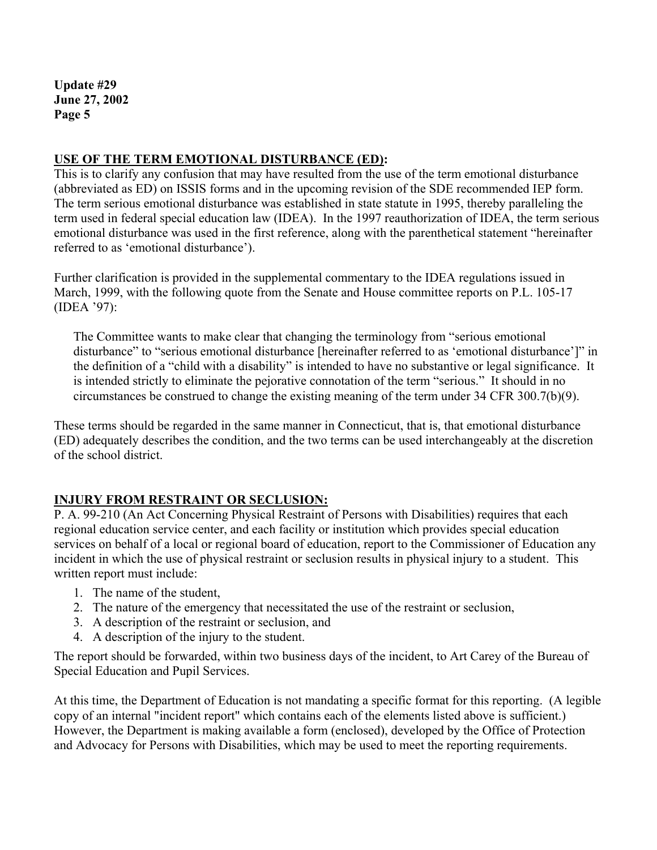# **USE OF THE TERM EMOTIONAL DISTURBANCE (ED):**

This is to clarify any confusion that may have resulted from the use of the term emotional disturbance (abbreviated as ED) on ISSIS forms and in the upcoming revision of the SDE recommended IEP form. The term serious emotional disturbance was established in state statute in 1995, thereby paralleling the term used in federal special education law (IDEA). In the 1997 reauthorization of IDEA, the term serious emotional disturbance was used in the first reference, along with the parenthetical statement "hereinafter referred to as 'emotional disturbance').

Further clarification is provided in the supplemental commentary to the IDEA regulations issued in March, 1999, with the following quote from the Senate and House committee reports on P.L. 105-17 (IDEA '97):

The Committee wants to make clear that changing the terminology from "serious emotional disturbance" to "serious emotional disturbance [hereinafter referred to as 'emotional disturbance']" in the definition of a "child with a disability" is intended to have no substantive or legal significance. It is intended strictly to eliminate the pejorative connotation of the term "serious." It should in no circumstances be construed to change the existing meaning of the term under 34 CFR 300.7(b)(9).

These terms should be regarded in the same manner in Connecticut, that is, that emotional disturbance (ED) adequately describes the condition, and the two terms can be used interchangeably at the discretion of the school district.

# **INJURY FROM RESTRAINT OR SECLUSION:**

P. A. 99-210 (An Act Concerning Physical Restraint of Persons with Disabilities) requires that each regional education service center, and each facility or institution which provides special education services on behalf of a local or regional board of education, report to the Commissioner of Education any incident in which the use of physical restraint or seclusion results in physical injury to a student. This written report must include:

- 1. The name of the student,
- 2. The nature of the emergency that necessitated the use of the restraint or seclusion,
- 3. A description of the restraint or seclusion, and
- 4. A description of the injury to the student.

The report should be forwarded, within two business days of the incident, to Art Carey of the Bureau of Special Education and Pupil Services.

At this time, the Department of Education is not mandating a specific format for this reporting. (A legible copy of an internal "incident report" which contains each of the elements listed above is sufficient.) However, the Department is making available a form (enclosed), developed by the Office of Protection and Advocacy for Persons with Disabilities, which may be used to meet the reporting requirements.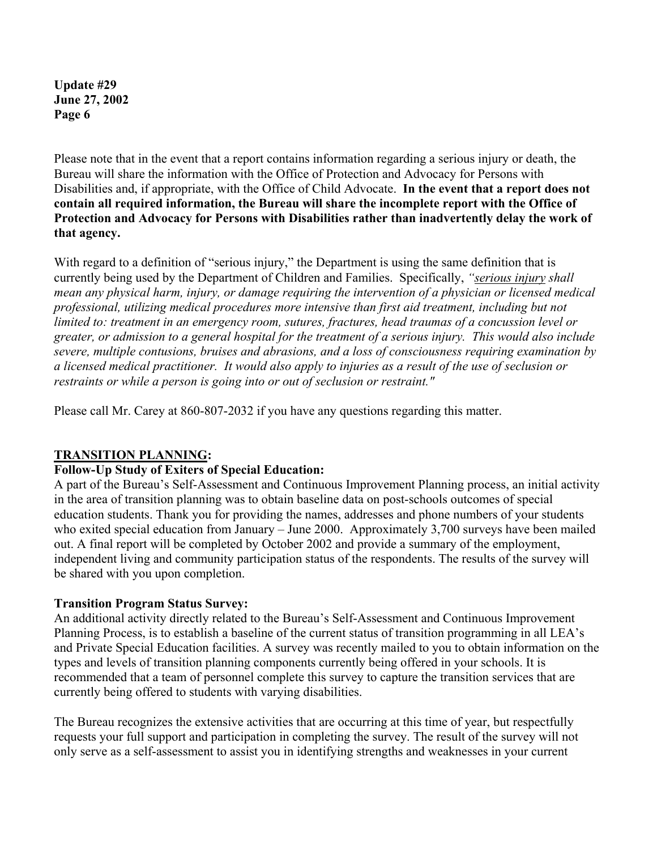Please note that in the event that a report contains information regarding a serious injury or death, the Bureau will share the information with the Office of Protection and Advocacy for Persons with Disabilities and, if appropriate, with the Office of Child Advocate. **In the event that a report does not contain all required information, the Bureau will share the incomplete report with the Office of Protection and Advocacy for Persons with Disabilities rather than inadvertently delay the work of that agency.** 

With regard to a definition of "serious injury," the Department is using the same definition that is currently being used by the Department of Children and Families. Specifically, *"serious injury shall mean any physical harm, injury, or damage requiring the intervention of a physician or licensed medical professional, utilizing medical procedures more intensive than first aid treatment, including but not limited to: treatment in an emergency room, sutures, fractures, head traumas of a concussion level or greater, or admission to a general hospital for the treatment of a serious injury. This would also include severe, multiple contusions, bruises and abrasions, and a loss of consciousness requiring examination by a licensed medical practitioner. It would also apply to injuries as a result of the use of seclusion or restraints or while a person is going into or out of seclusion or restraint."* 

Please call Mr. Carey at 860-807-2032 if you have any questions regarding this matter.

# **TRANSITION PLANNING:**

# **Follow-Up Study of Exiters of Special Education:**

A part of the Bureau's Self-Assessment and Continuous Improvement Planning process, an initial activity in the area of transition planning was to obtain baseline data on post-schools outcomes of special education students. Thank you for providing the names, addresses and phone numbers of your students who exited special education from January – June 2000. Approximately 3,700 surveys have been mailed out. A final report will be completed by October 2002 and provide a summary of the employment, independent living and community participation status of the respondents. The results of the survey will be shared with you upon completion.

#### **Transition Program Status Survey:**

An additional activity directly related to the Bureau's Self-Assessment and Continuous Improvement Planning Process, is to establish a baseline of the current status of transition programming in all LEA's and Private Special Education facilities. A survey was recently mailed to you to obtain information on the types and levels of transition planning components currently being offered in your schools. It is recommended that a team of personnel complete this survey to capture the transition services that are currently being offered to students with varying disabilities.

The Bureau recognizes the extensive activities that are occurring at this time of year, but respectfully requests your full support and participation in completing the survey. The result of the survey will not only serve as a self-assessment to assist you in identifying strengths and weaknesses in your current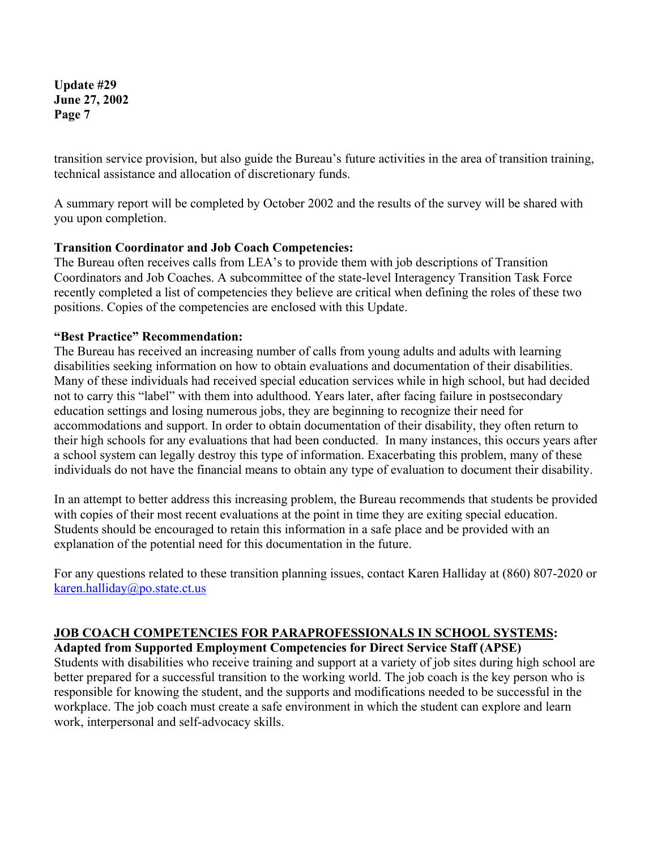transition service provision, but also guide the Bureau's future activities in the area of transition training, technical assistance and allocation of discretionary funds.

A summary report will be completed by October 2002 and the results of the survey will be shared with you upon completion.

#### **Transition Coordinator and Job Coach Competencies:**

The Bureau often receives calls from LEA's to provide them with job descriptions of Transition Coordinators and Job Coaches. A subcommittee of the state-level Interagency Transition Task Force recently completed a list of competencies they believe are critical when defining the roles of these two positions. Copies of the competencies are enclosed with this Update.

#### **"Best Practice" Recommendation:**

The Bureau has received an increasing number of calls from young adults and adults with learning disabilities seeking information on how to obtain evaluations and documentation of their disabilities. Many of these individuals had received special education services while in high school, but had decided not to carry this "label" with them into adulthood. Years later, after facing failure in postsecondary education settings and losing numerous jobs, they are beginning to recognize their need for accommodations and support. In order to obtain documentation of their disability, they often return to their high schools for any evaluations that had been conducted. In many instances, this occurs years after a school system can legally destroy this type of information. Exacerbating this problem, many of these individuals do not have the financial means to obtain any type of evaluation to document their disability.

In an attempt to better address this increasing problem, the Bureau recommends that students be provided with copies of their most recent evaluations at the point in time they are exiting special education. Students should be encouraged to retain this information in a safe place and be provided with an explanation of the potential need for this documentation in the future.

For any questions related to these transition planning issues, contact Karen Halliday at (860) 807-2020 or karen.halliday@po.state.ct.us

# **JOB COACH COMPETENCIES FOR PARAPROFESSIONALS IN SCHOOL SYSTEMS:**

**Adapted from Supported Employment Competencies for Direct Service Staff (APSE)** 

Students with disabilities who receive training and support at a variety of job sites during high school are better prepared for a successful transition to the working world. The job coach is the key person who is responsible for knowing the student, and the supports and modifications needed to be successful in the workplace. The job coach must create a safe environment in which the student can explore and learn work, interpersonal and self-advocacy skills.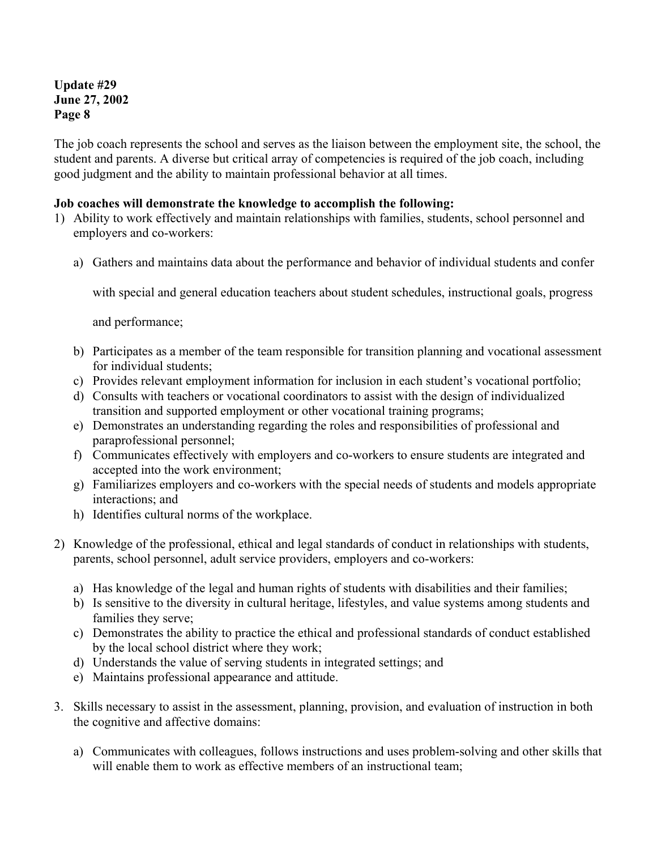The job coach represents the school and serves as the liaison between the employment site, the school, the student and parents. A diverse but critical array of competencies is required of the job coach, including good judgment and the ability to maintain professional behavior at all times.

#### **Job coaches will demonstrate the knowledge to accomplish the following:**

- 1) Ability to work effectively and maintain relationships with families, students, school personnel and employers and co-workers:
	- a) Gathers and maintains data about the performance and behavior of individual students and confer

with special and general education teachers about student schedules, instructional goals, progress

and performance;

- b) Participates as a member of the team responsible for transition planning and vocational assessment for individual students;
- c) Provides relevant employment information for inclusion in each student's vocational portfolio;
- d) Consults with teachers or vocational coordinators to assist with the design of individualized transition and supported employment or other vocational training programs;
- e) Demonstrates an understanding regarding the roles and responsibilities of professional and paraprofessional personnel;
- f) Communicates effectively with employers and co-workers to ensure students are integrated and accepted into the work environment;
- g) Familiarizes employers and co-workers with the special needs of students and models appropriate interactions; and
- h) Identifies cultural norms of the workplace.
- 2) Knowledge of the professional, ethical and legal standards of conduct in relationships with students, parents, school personnel, adult service providers, employers and co-workers:
	- a) Has knowledge of the legal and human rights of students with disabilities and their families;
	- b) Is sensitive to the diversity in cultural heritage, lifestyles, and value systems among students and families they serve;
	- c) Demonstrates the ability to practice the ethical and professional standards of conduct established by the local school district where they work;
	- d) Understands the value of serving students in integrated settings; and
	- e) Maintains professional appearance and attitude.
- 3. Skills necessary to assist in the assessment, planning, provision, and evaluation of instruction in both the cognitive and affective domains:
	- a) Communicates with colleagues, follows instructions and uses problem-solving and other skills that will enable them to work as effective members of an instructional team;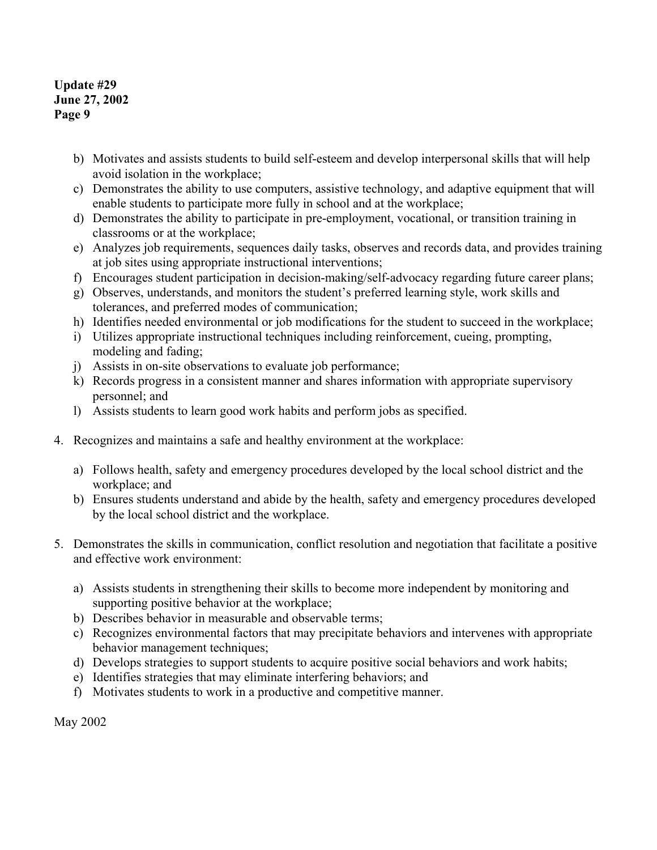- b) Motivates and assists students to build self-esteem and develop interpersonal skills that will help avoid isolation in the workplace;
- c) Demonstrates the ability to use computers, assistive technology, and adaptive equipment that will enable students to participate more fully in school and at the workplace;
- d) Demonstrates the ability to participate in pre-employment, vocational, or transition training in classrooms or at the workplace;
- e) Analyzes job requirements, sequences daily tasks, observes and records data, and provides training at job sites using appropriate instructional interventions;
- f) Encourages student participation in decision-making/self-advocacy regarding future career plans;
- g) Observes, understands, and monitors the student's preferred learning style, work skills and tolerances, and preferred modes of communication;
- h) Identifies needed environmental or job modifications for the student to succeed in the workplace;
- i) Utilizes appropriate instructional techniques including reinforcement, cueing, prompting, modeling and fading;
- j) Assists in on-site observations to evaluate job performance;
- k) Records progress in a consistent manner and shares information with appropriate supervisory personnel; and
- l) Assists students to learn good work habits and perform jobs as specified.
- 4. Recognizes and maintains a safe and healthy environment at the workplace:
	- a) Follows health, safety and emergency procedures developed by the local school district and the workplace; and
	- b) Ensures students understand and abide by the health, safety and emergency procedures developed by the local school district and the workplace.
- 5. Demonstrates the skills in communication, conflict resolution and negotiation that facilitate a positive and effective work environment:
	- a) Assists students in strengthening their skills to become more independent by monitoring and supporting positive behavior at the workplace;
	- b) Describes behavior in measurable and observable terms;
	- c) Recognizes environmental factors that may precipitate behaviors and intervenes with appropriate behavior management techniques;
	- d) Develops strategies to support students to acquire positive social behaviors and work habits;
	- e) Identifies strategies that may eliminate interfering behaviors; and
	- f) Motivates students to work in a productive and competitive manner.

May 2002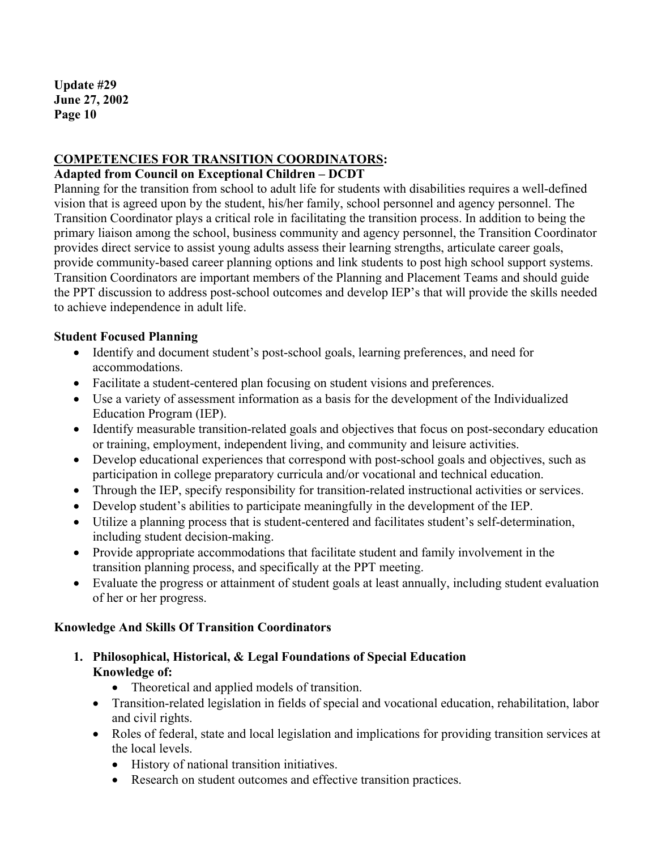# **COMPETENCIES FOR TRANSITION COORDINATORS:**

#### **Adapted from Council on Exceptional Children – DCDT**

Planning for the transition from school to adult life for students with disabilities requires a well-defined vision that is agreed upon by the student, his/her family, school personnel and agency personnel. The Transition Coordinator plays a critical role in facilitating the transition process. In addition to being the primary liaison among the school, business community and agency personnel, the Transition Coordinator provides direct service to assist young adults assess their learning strengths, articulate career goals, provide community-based career planning options and link students to post high school support systems. Transition Coordinators are important members of the Planning and Placement Teams and should guide the PPT discussion to address post-school outcomes and develop IEP's that will provide the skills needed to achieve independence in adult life.

# **Student Focused Planning**

- Identify and document student's post-school goals, learning preferences, and need for accommodations.
- Facilitate a student-centered plan focusing on student visions and preferences.
- Use a variety of assessment information as a basis for the development of the Individualized Education Program (IEP).
- Identify measurable transition-related goals and objectives that focus on post-secondary education or training, employment, independent living, and community and leisure activities.
- Develop educational experiences that correspond with post-school goals and objectives, such as participation in college preparatory curricula and/or vocational and technical education.
- Through the IEP, specify responsibility for transition-related instructional activities or services.
- Develop student's abilities to participate meaningfully in the development of the IEP.
- Utilize a planning process that is student-centered and facilitates student's self-determination, including student decision-making.
- Provide appropriate accommodations that facilitate student and family involvement in the transition planning process, and specifically at the PPT meeting.
- Evaluate the progress or attainment of student goals at least annually, including student evaluation of her or her progress.

# **Knowledge And Skills Of Transition Coordinators**

- **1. Philosophical, Historical, & Legal Foundations of Special Education Knowledge of:** 
	- Theoretical and applied models of transition.
	- Transition-related legislation in fields of special and vocational education, rehabilitation, labor and civil rights.
	- Roles of federal, state and local legislation and implications for providing transition services at the local levels.
		- History of national transition initiatives.
		- Research on student outcomes and effective transition practices.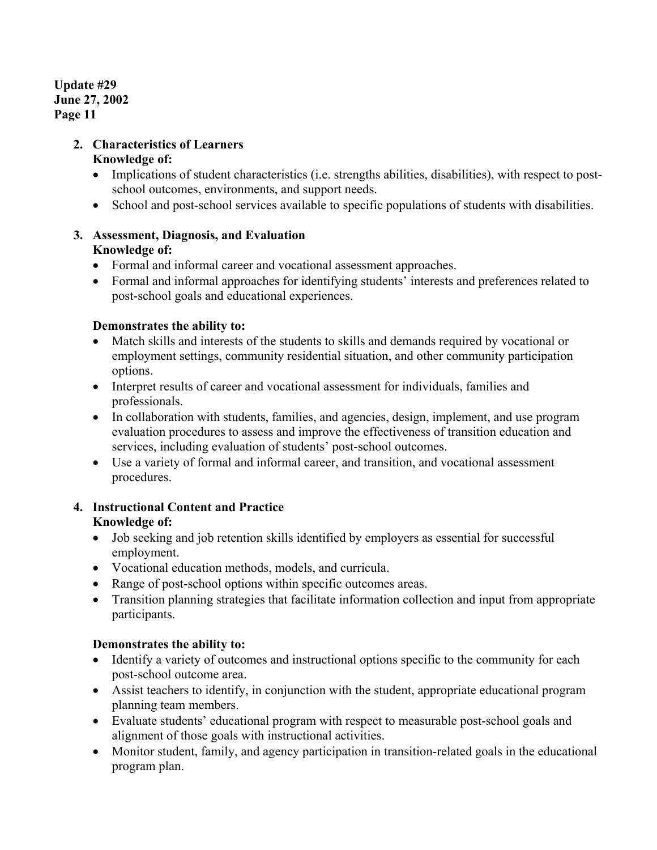# **2. Characteristics of Learners**

# **Knowledge of:**

- Implications of student characteristics (i.e. strengths abilities, disabilities), with respect to postschool outcomes, environments, and support needs.
- School and post-school services available to specific populations of students with disabilities.

# **3. Assessment, Diagnosis, and Evaluation**

# **Knowledge of:**

- Formal and informal career and vocational assessment approaches.
- Formal and informal approaches for identifying students' interests and preferences related to post-school goals and educational experiences.

# **Demonstrates the ability to:**

- Match skills and interests of the students to skills and demands required by vocational or employment settings, community residential situation, and other community participation options.
- Interpret results of career and vocational assessment for individuals, families and professionals.
- In collaboration with students, families, and agencies, design, implement, and use program evaluation procedures to assess and improve the effectiveness of transition education and services, including evaluation of students' post-school outcomes.
- Use a variety of formal and informal career, and transition, and vocational assessment procedures.

# **4. Instructional Content and Practice**

# **Knowledge of:**

- Job seeking and job retention skills identified by employers as essential for successful employment.
- Vocational education methods, models, and curricula.
- Range of post-school options within specific outcomes areas.
- Transition planning strategies that facilitate information collection and input from appropriate participants.

# **Demonstrates the ability to:**

- Identify a variety of outcomes and instructional options specific to the community for each post-school outcome area.
- Assist teachers to identify, in conjunction with the student, appropriate educational program planning team members.
- Evaluate students' educational program with respect to measurable post-school goals and alignment of those goals with instructional activities.
- Monitor student, family, and agency participation in transition-related goals in the educational program plan.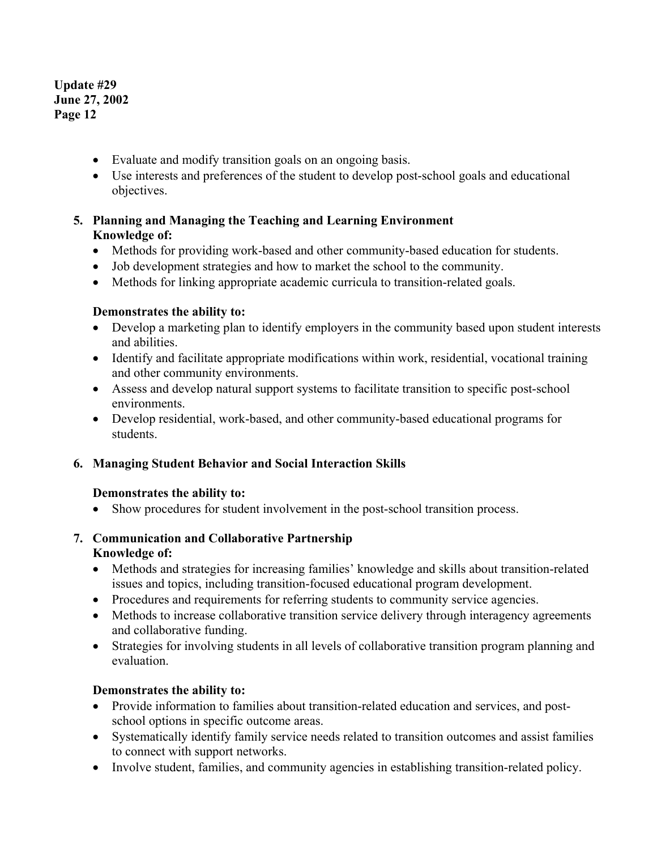- Evaluate and modify transition goals on an ongoing basis.
- Use interests and preferences of the student to develop post-school goals and educational objectives.

# **5. Planning and Managing the Teaching and Learning Environment Knowledge of:**

- Methods for providing work-based and other community-based education for students.
- Job development strategies and how to market the school to the community.
- Methods for linking appropriate academic curricula to transition-related goals.

#### **Demonstrates the ability to:**

- Develop a marketing plan to identify employers in the community based upon student interests and abilities.
- Identify and facilitate appropriate modifications within work, residential, vocational training and other community environments.
- Assess and develop natural support systems to facilitate transition to specific post-school environments.
- Develop residential, work-based, and other community-based educational programs for students.

# **6. Managing Student Behavior and Social Interaction Skills**

#### **Demonstrates the ability to:**

• Show procedures for student involvement in the post-school transition process.

# **7. Communication and Collaborative Partnership Knowledge of:**

- Methods and strategies for increasing families' knowledge and skills about transition-related issues and topics, including transition-focused educational program development.
- Procedures and requirements for referring students to community service agencies.
- Methods to increase collaborative transition service delivery through interagency agreements and collaborative funding.
- Strategies for involving students in all levels of collaborative transition program planning and evaluation.

# **Demonstrates the ability to:**

- Provide information to families about transition-related education and services, and postschool options in specific outcome areas.
- Systematically identify family service needs related to transition outcomes and assist families to connect with support networks.
- Involve student, families, and community agencies in establishing transition-related policy.